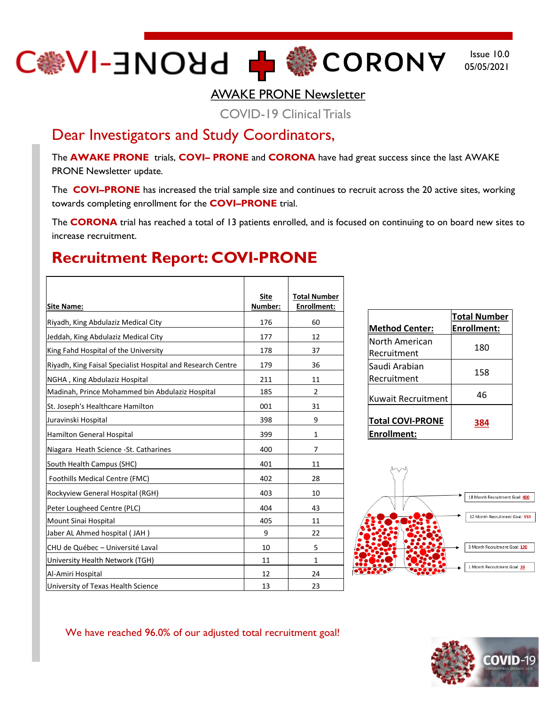## C<sub>●</sub>∧I-∃NOЯ9 + ●● COBONA

Issue 10.0 05/05/2021

AWAKE PRONE Newsletter

COVID-19 Clinical Trials

#### Dear Investigators and Study Coordinators,

The **AWAKE PRONE** trials, **COVI– PRONE** and **CORONA** have had great success since the last AWAKE PRONE Newsletter update.

The **COVI–PRONE** has increased the trial sample size and continues to recruit across the 20 active sites, working towards completing enrollment for the **COVI–PRONE** trial.

The **CORONA** trial has reached a total of 13 patients enrolled, and is focused on continuing to on board new sites to increase recruitment.

#### **Recruitment Report: COVI-PRONE**

| <b>Site Name:</b>                                           | <b>Site</b><br>Number: | <b>Total Number</b><br><b>Enrollment:</b> |
|-------------------------------------------------------------|------------------------|-------------------------------------------|
| Riyadh, King Abdulaziz Medical City                         | 176                    | 60                                        |
| Jeddah, King Abdulaziz Medical City                         | 177                    | 12                                        |
| King Fahd Hospital of the University                        | 178                    | 37                                        |
| Riyadh, King Faisal Specialist Hospital and Research Centre | 179                    | 36                                        |
| NGHA, King Abdulaziz Hospital                               | 211                    | 11                                        |
| Madinah, Prince Mohammed bin Abdulaziz Hospital             | 185                    | 2                                         |
| St. Joseph's Healthcare Hamilton                            | 001                    | 31                                        |
| Juravinski Hospital                                         | 398                    | 9                                         |
| Hamilton General Hospital                                   | 399                    | $\mathbf{1}$                              |
| Niagara Heath Science - St. Catharines                      | 400                    | 7                                         |
| South Health Campus (SHC)                                   | 401                    | 11                                        |
| <b>Foothills Medical Centre (FMC)</b>                       | 402                    | 28                                        |
| Rockyview General Hospital (RGH)                            | 403                    | 10                                        |
| Peter Lougheed Centre (PLC)                                 | 404                    | 43                                        |
| Mount Sinai Hospital                                        | 405                    | 11                                        |
| Jaber AL Ahmed hospital (JAH)                               | 9                      | 22                                        |
| CHU de Québec - Université Laval                            | 10                     | 5                                         |
| University Health Network (TGH)                             | 11                     | $\mathbf{1}$                              |
| Al-Amiri Hospital                                           | 12                     | 24                                        |
| University of Texas Health Science                          | 13                     | 23                                        |

| <b>Method Center:</b>                   | <b>Total Number</b><br><b>Enrollment:</b> |
|-----------------------------------------|-------------------------------------------|
| North American<br>Recruitment           | 180                                       |
| Saudi Arabian<br>Recruitment            | 158                                       |
| Kuwait Recruitment                      | 46                                        |
| <b>Total COVI-PRONE</b><br> Enrollment: | 384                                       |



#### We have reached 96.0% of our adjusted total recruitment goal!

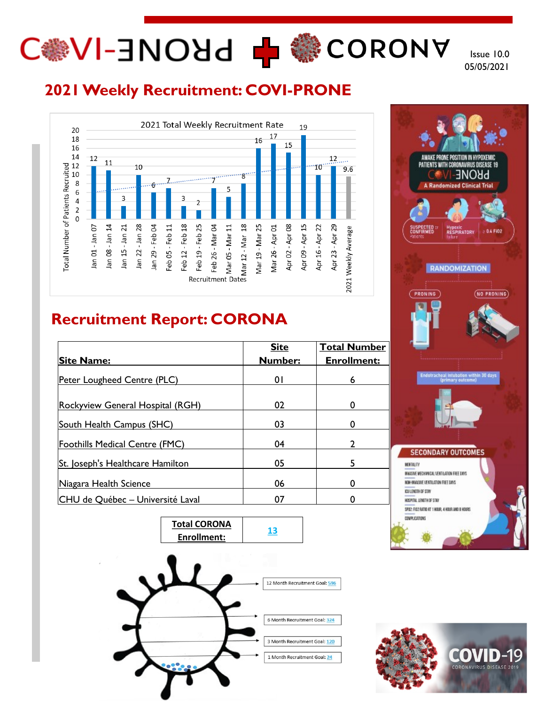# C N-3NO Hd 中 卷 CORONY

Issue 10.0 05/05/2021

### **2021 Weekly Recruitment: COVI-PRONE**



### **Recruitment Report: CORONA**

| <b>Site Name:</b>                     | <b>Site</b><br><b>Number:</b> | <b>Total Number</b><br><b>Enrollment:</b> |
|---------------------------------------|-------------------------------|-------------------------------------------|
|                                       |                               |                                           |
| Peter Lougheed Centre (PLC)           | 01                            | 6                                         |
|                                       |                               |                                           |
| Rockyview General Hospital (RGH)      | 02                            | 0                                         |
|                                       |                               |                                           |
| South Health Campus (SHC)             | 03                            | 0                                         |
| <b>Foothills Medical Centre (FMC)</b> | 04                            |                                           |
|                                       |                               |                                           |
| St. Joseph's Healthcare Hamilton      | 05                            |                                           |
| Niagara Health Science                | 06                            | 0                                         |
| CHU de Québec - Université Laval      | 07                            |                                           |





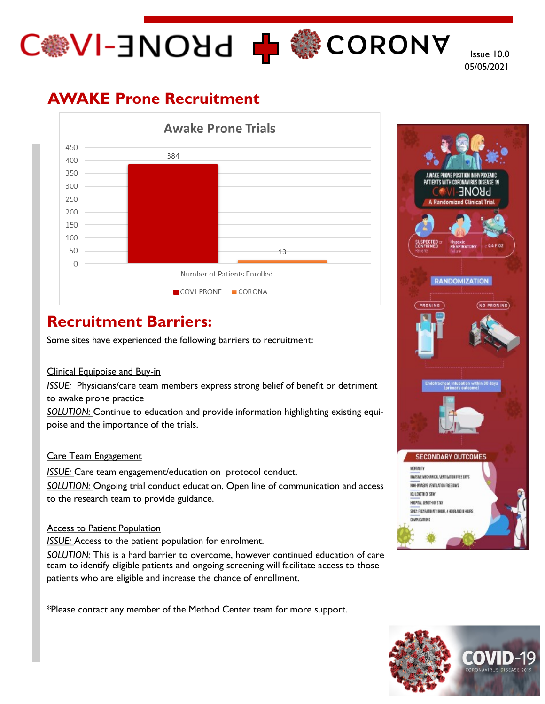# C MOHO H MORONA

Issue 10.0 05/05/2021

## **AWAKE Prone Recruitment**



### **Recruitment Barriers:**

Some sites have experienced the following barriers to recruitment:

#### Clinical Equipoise and Buy-in

*ISSUE:* Physicians/care team members express strong belief of benefit or detriment to awake prone practice

*SOLUTION:* Continue to education and provide information highlighting existing equipoise and the importance of the trials.

#### Care Team Engagement

*ISSUE:* Care team engagement/education on protocol conduct. *SOLUTION:* Ongoing trial conduct education. Open line of communication and access to the research team to provide guidance.

#### Access to Patient Population

**ISSUE:** Access to the patient population for enrolment.

*SOLUTION:* This is a hard barrier to overcome, however continued education of care team to identify eligible patients and ongoing screening will facilitate access to those patients who are eligible and increase the chance of enrollment.

\*Please contact any member of the Method Center team for more support.